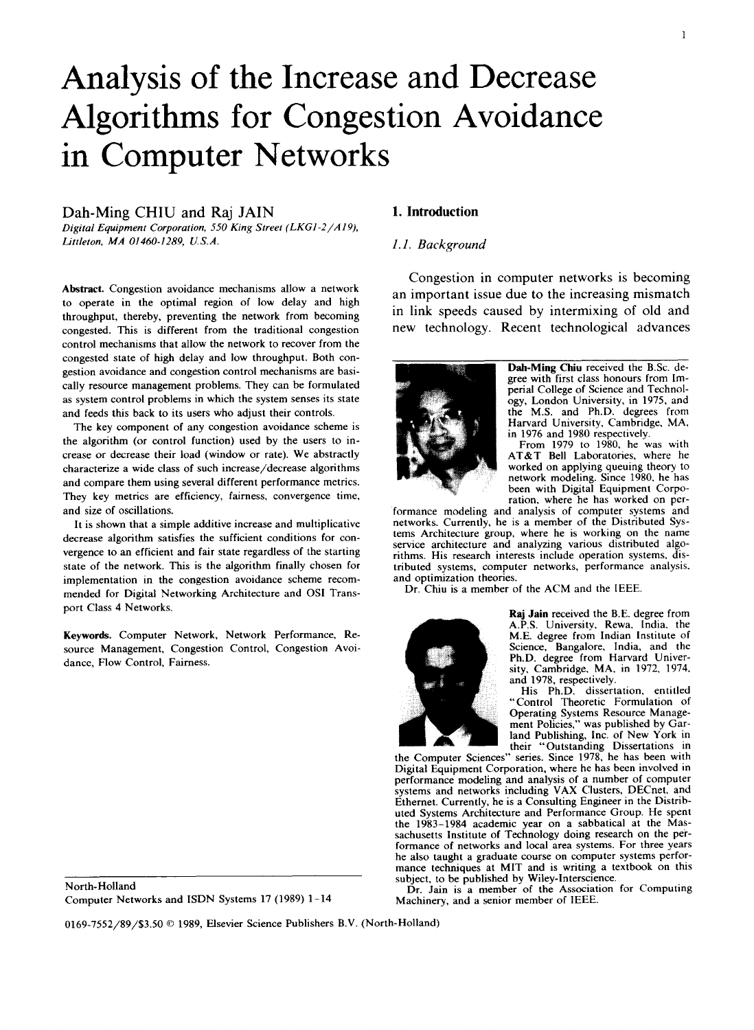# Analysis of the Increase and Decrease **Algorithms for Congestion Avoidance in Computer Networks**

## Dah-Ming CHIU and Raj JAIN

*Digital Equipment Corporation, 550 King Street (LKG1-2/A19), Littleton, MA 01460-1289, U.S.A.* 

**Abstract.** Congestion avoidance mechanisms allow a network to operate in the optimal region of low delay and high throughput, thereby, preventing the network from becoming congested. This is different from the traditional congestion control mechanisms that allow the network to recover from the congested state of high delay and low throughput. Both congestion avoidance and congestion control mechanisms are basically resource management problems. They can be formulated as system control problems in which the system senses its state and feeds this back to its users who adjust their controls.

The key component of any congestion avoidance scheme is the algorithm (or control function) used by the users to increase or decrease their load (window or rate). We abstractly characterize a wide class of such increase/decrease algorithms and compare them using several different performance metrics. They key metrics are efficiency, fairness, convergence time, and size of oscillations.

It is shown that a simple additive increase and multiplicative decrease algorithm satisfies the sufficient conditions for convergence to an efficient and fair state regardless of the starting state of the network. This is the algorithm finally chosen for implementation in the congestion avoidance scheme recommended for Digital Networking Architecture and OSI Transport Class 4 Networks.

Keywords. Computer Network, Network Performance, Resource Management, Congestion Control, Congestion Avoidance, Flow Control, Fairness.

## **1. Introduction**

#### *1.1. Background*

Congestion in computer networks is becoming an important issue due to the increasing mismatch in link speeds caused by intermixing of old and new technology. Recent technological advances



Dah-Ming Chiu received the B.Sc. degree with first class honours from Imperial College of Science and Technology, London University, in 1975, and the M.S. and Ph.D. degrees from Harvard University, Cambridge, MA, in 1976 and 1980 respectively.

From 1979 to 1980, he was with AT&T Bell Laboratories, where he worked on applying queuing theory to network modeling. Since 1980, he has been with Digital Equipment Corporation, where he has worked on per-

formance modeling and analysis of computer systems and networks. Currently, he is a member of the Distributed Systems Architecture group, where he is working on the name service architecture and analyzing various distributed algorithms. His research interests include operation systems, distributed systems, computer networks, performance analysis, and optimization theories.

Dr. Chiu is a member of the ACM and the IEEE.



**Raj Jain** received the B.E. degree from A.P.S. University, Rewa, India, the M.E. degree from Indian Institute of Science, Bangalore, India, and the Ph.D. degree from Harvard University, Cambridge, MA, in 1972, 1974, and 1978, respectively.

His Ph.D. dissertation, entitled "Control Theoretic Formulation of Operating Systems Resource Management Policies," was published by Garland Publishing, Inc. of New York in their "Outstanding Dissertations in

the Computer Sciences" series. Since 1978, he has been with Digital Equipment Corporation, where he has been involved in performance modeling and analysis of a number of computer systems and networks including VAX Clusters, DECnet, and Ethernet. Currently, he is a Consulting Engineer in the Distributed Systems Architecture and Performance Group. He spent the 1983-1984 academic year on a sabbatical at the Massachusetts Institute of Technology doing research on the performance of networks and local area systems. For three years he also taught a graduate course on computer systems performance techniques at MIT and is writing a textbook on this subject, to be published by Wiley-Interscience.

Dr. Jain is a member of the Association for Computing Machinery, and a senior member of IEEE.

North-Holland Computer Networks and ISDN Systems 17 (1989) 1-14

0169-7552/89/\$3.50 © 1989, Elsevier Science Publishers B.V. (North-Holland)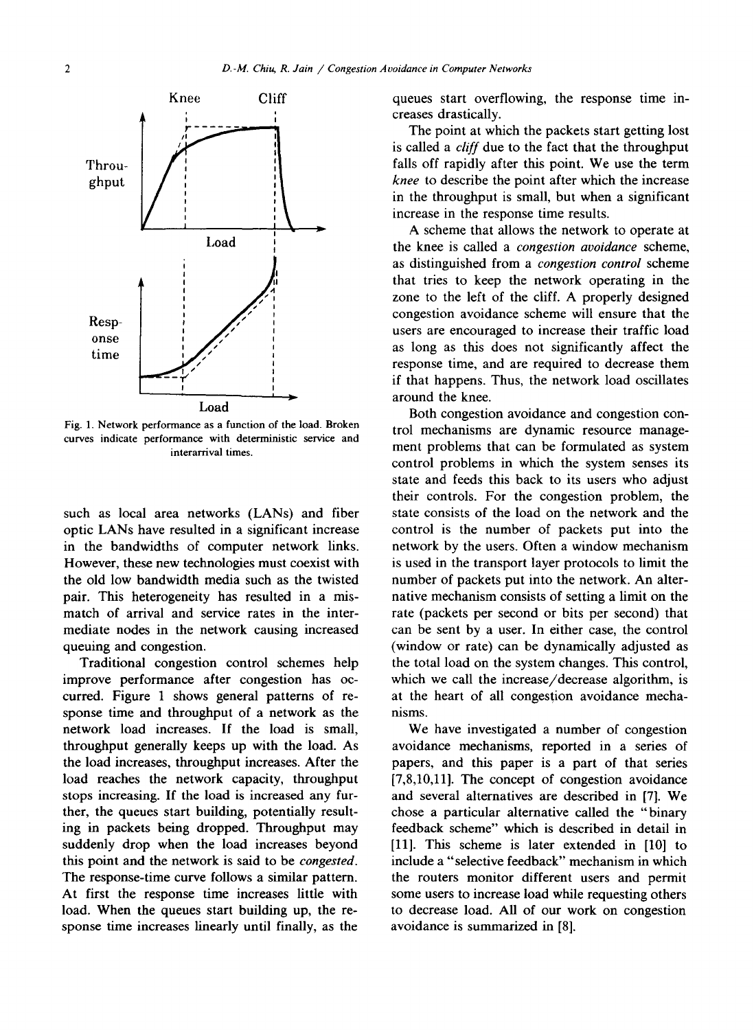

Fig. 1. Network performance as a function of the load. Broken curves indicate performance with deterministic service and interarrival times.

such as local area networks (LANs) and fiber optic LANs have resulted in a significant increase in the bandwidths of computer network links. However, these new technologies must coexist with the old low bandwidth media such as the twisted pair. This heterogeneity has resulted in a mismatch of arrival and service rates in the intermediate nodes in the network causing increased queuing and congestion.

Traditional congestion control schemes help improve performance after congestion has occurred. Figure 1 shows general patterns of response time and throughput of a network as the network load increases. If the load is small, throughput generally keeps up with the load. As the load increases, throughput increases. After the load reaches the network capacity, throughput stops increasing. If the load is increased any further, the queues start building, potentially resulting in packets being dropped. Throughput may suddenly drop when the load increases beyond this point and the network is said to be *congested.*  The response-time curve follows a similar pattern. At first the response time increases little with load. When the queues start building up, the response time increases linearly until finally, as the queues start overflowing, the response time increases drastically.

The point at which the packets start getting lost is called a *cliff* due to the fact that the throughput falls off rapidly after this point. We use the term *knee* to describe the point after which the increase in the throughput is small, but when a significant increase in the response time results.

A scheme that allows the network to operate at the knee is called a *congestion avoidance* scheme, as distinguished from a *congestion control* scheme that tries to keep the network operating in the zone to the left of the cliff. A properly designed congestion avoidance scheme will ensure that the users are encouraged to increase their traffic load as long as this does not significantly affect the response time, and are required to decrease them if that happens. Thus, the network load oscillates around the knee.

Both congestion avoidance and congestion control mechanisms are dynamic resource management problems that can be formulated as system control problems in which the system senses its state and feeds this back to its users who adjust their controls. For the congestion problem, the state consists of the load on the network and the control is the number of packets put into the network by the users. Often a window mechanism is used in the transport layer protocols to limit the number of packets put into the network. An alternative mechanism consists of setting a limit on the rate (packets per second or bits per second) that can be sent by a user. In either case, the control (window or rate) can be dynamically adjusted as the total load on the system changes. This control, which we call the increase/decrease algorithm, is at the heart of all congestion avoidance mechanisms.

We have investigated a number of congestion avoidance mechanisms, reported in a series of papers, and this paper is a part of that series [7,8,10,11]. The concept of congestion avoidance and several alternatives are described in [7]. We chose a particular alternative called the "binary feedback scheme" which is described in detail in [11]. This scheme is later extended in [10] to include a "selective feedback" mechanism in which the routers monitor different users and permit some users to increase load while requesting others to decrease load. All of our work on congestion avoidance is summarized in [8].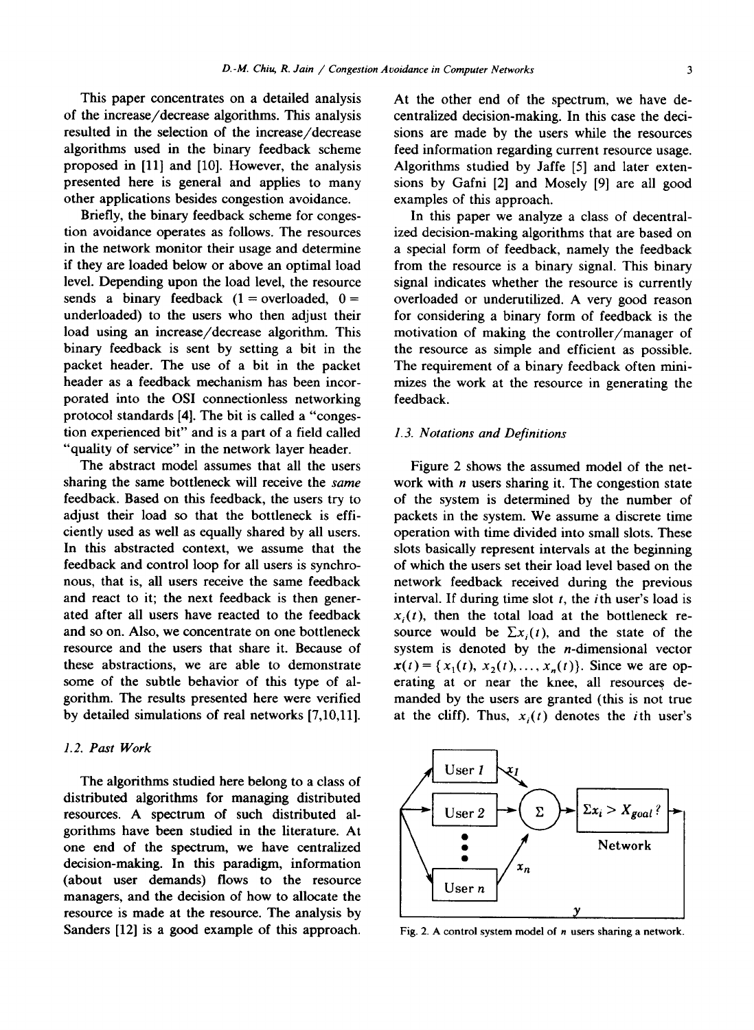This paper concentrates on a detailed analysis of the increase/decrease algorithms. This analysis resulted in the selection of the increase/decrease algorithms used in the binary feedback scheme proposed in [11] and [10]. However, the analysis presented here is general and applies to many other applications besides congestion avoidance.

Briefly, the binary feedback scheme for congestion avoidance operates as follows. The resources in the network monitor their usage and determine if they are loaded below or above an optimal load level. Depending upon the load level, the resource sends a binary feedback  $(1 = \text{overloaded}, 0 =$ underloaded) to the users who then adjust their load using an increase/decrease algorithm. This binary feedback is sent by setting a bit in the packet header. The use of a bit in the packet header as a feedback mechanism has been incorporated into the OSI connectionless networking protocol standards [4]. The bit is called a "congestion experienced bit" and is a part of a field called "quality of service" in the network layer header.

The abstract model assumes that all the users sharing the same bottleneck will receive the *same*  feedback. Based on this feedback, the users try to adjust their load so that the bottleneck is efficiently used as well as equally shared by all users. In this abstracted context, we assume that the feedback and control loop for all users is synchronous, that is, all users receive the same feedback and react to it; the next feedback is then generated after all users have reacted to the feedback and so on. Also, we concentrate on one bottleneck resource and the users that share it. Because of these abstractions, we are able to demonstrate some of the subtle behavior of this type of algorithm. The results presented here were verified by detailed simulations of real networks [7,10,11].

## *1.2. Past Work*

The algorithms studied here belong to a class of distributed algorithms for managing distributed resources. A spectrum of such distributed algorithrns have been studied in the literature. At one end of the spectrum, we have centralized decision-making. In this paradigm, information (about user demands) flows to the resource managers, and the decision of how to allocate the resource is made at the resource. The analysis by Sanders [12] is a good example of this approach.

At the other end of the spectrum, we have decentralized decision-making. In this case the decisions are made by the users while the resources feed information regarding current resource usage. Algorithms studied by Jaffe [5] and later extensions by Gafni [2] and Mosely [9] are all good examples of this approach.

In this paper we analyze a class of decentralized decision-making algorithms that are based on a special form of feedback, namely the feedback from the resource is a binary signal. This binary signal indicates whether the resource is currently overloaded or underutilized. A very good reason for considering a binary form of feedback is the motivation of making the controller/manager of the resource as simple and efficient as possible. The requirement of a binary feedback often minimizes the work at the resource in generating the feedback.

### *1.3. Notations and Definitions*

Figure 2 shows the assumed model of the network with  $n$  users sharing it. The congestion state of the system is determined by the number of packets in the system. We assume a discrete time operation with time divided into small slots. These slots basically represent intervals at the beginning of which the users set their load level based on the network feedback received during the previous interval. If during time slot  $t$ , the *i*th user's load is  $x_i(t)$ , then the total load at the bottleneck resource would be  $\sum x_i(t)$ , and the state of the system is denoted by the  $n$ -dimensional vector  $x(t) = \{x_1(t), x_2(t), \ldots, x_n(t)\}.$  Since we are operating at or near the knee, all resources demanded by the users are granted (this is not true at the cliff). Thus,  $x_i(t)$  denotes the *i*th user's



Fig. 2. A control system model of n users sharing a network.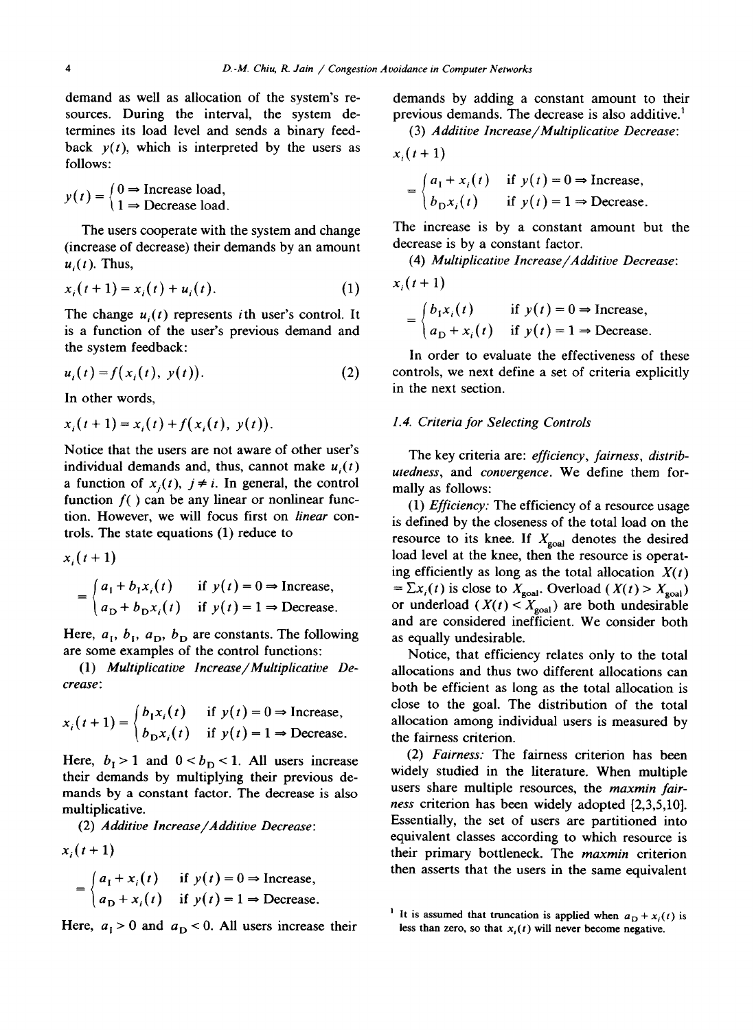demand as well as allocation of the system's resources. During the interval, the system determines its load level and sends a binary feedback  $y(t)$ , which is interpreted by the users as follows:

 $y(t)$  =  $\int 0 \Rightarrow$  Increase load, Decrease load.

The users cooperate with the system and change (increase of decrease) their demands by an amount  $u_i(t)$ . Thus,

$$
x_i(t+1) = x_i(t) + u_i(t).
$$
 (1)

The change  $u_i(t)$  represents *i*th user's control. It is a function of the user's previous demand and the system feedback:

$$
u_i(t) = f(x_i(t), y(t)).
$$
 (2)

In other words,

 $x_i(t+1) = x_i(t) + f(x_i(t), y(t)).$ 

Notice that the users are not aware of other user's individual demands and, thus, cannot make  $u_i(t)$ a function of  $x_i(t)$ ,  $j \neq i$ . In general, the control function  $f()$  can be any linear or nonlinear function. However, we will focus first on *linear* controis. The state equations (1) reduce to

$$
x_i(t+1)
$$
  
= 
$$
\begin{cases} a_1 + b_1 x_i(t) & \text{if } y(t) = 0 \Rightarrow \text{Increase,} \\ a_{\text{D}} + b_{\text{D}} x_i(t) & \text{if } y(t) = 1 \Rightarrow \text{Decrease.} \end{cases}
$$

Here,  $a_I$ ,  $b_I$ ,  $a_D$ ,  $b_D$  are constants. The following are some examples of the control functions:

(1) *Multiplicative Increase/Multiplicative Decrease:* 

$$
x_i(t+1) = \begin{cases} b_1 x_i(t) & \text{if } y(t) = 0 \Rightarrow \text{Increase,} \\ b_{\text{D}} x_i(t) & \text{if } y(t) = 1 \Rightarrow \text{Decrease.} \end{cases}
$$

Here,  $b_1 > 1$  and  $0 < b_p < 1$ . All users increase their demands by multiplying their previous demands by a constant factor. The decrease is also multiplicative.

(2) *Additive Increase/Additive Decrease:* 

$$
x_i(t+1)
$$

$$
= \begin{cases} a_1 + x_i(t) & \text{if } y(t) = 0 \Rightarrow \text{Increase,} \\ a_{\text{D}} + x_i(t) & \text{if } y(t) = 1 \Rightarrow \text{Decrease.} \end{cases}
$$

Here,  $a_1 > 0$  and  $a_D < 0$ . All users increase their

demands by adding a constant amount to their previous demands. The decrease is also additive.<sup>1</sup>

(3) *Additive Increase/ Multiplicative Decrease:* 

$$
x_i(t+1)
$$

$$
= \begin{cases} a_1 + x_i(t) & \text{if } y(t) = 0 \Rightarrow \text{Increase,} \\ b_{\text{D}}x_i(t) & \text{if } y(t) = 1 \Rightarrow \text{Decrease.} \end{cases}
$$

The increase is by a constant amount but the decrease is by a constant factor.

(4) *Multiplicative Increase/Additive Decrease:* 

$$
x_i(t+1)
$$

$$
= \begin{cases} b_1 x_i(t) & \text{if } y(t) = 0 \Rightarrow \text{Increase,} \\ a_{\text{D}} + x_i(t) & \text{if } y(t) = 1 \Rightarrow \text{Decrease.} \end{cases}
$$

In order to evaluate the effectiveness of these controls, we next define a set of criteria explicitly in the next section.

#### *1.4. Criteria for Selecting Controls*

The key criteria are: *efficiency, fairness, distributedness,* and *convergence.* We define them formally as follows:

(1) *Efficiency:* The efficiency of a resource usage **is** defined by the closeness of the total load on the resource to its knee. If  $X_{\text{goal}}$  denotes the desired load level at the knee, then the resource is operating efficiently as long as the total allocation  $X(t)$  $=\sum x_i(t)$  is close to  $X_{\text{goal}}$ . Overload ( $X(t) > X_{\text{goal}}$ ) or underload  $(X(t) < X_{\text{goal}})$  are both undesirable and are considered inefficient. We consider both as equally undesirable.

Notice, that efficiency relates only to the total allocations and thus two different allocations can both be efficient as long as the total allocation is close to the goal. The distribution of the total allocation among individual users is measured by the fairness criterion.

(2) *Fairness: The* fairness criterion has been widely studied in the literature. When multiple users share multiple resources, the *maxmin fairness* criterion has been widely adopted [2,3,5,10]. Essentially, the set of users are partitioned into equivalent classes according to which resource is their primary bottleneck. The *maxmin* criterion then asserts that the users in the same equivalent

**<sup>&</sup>lt;sup>1</sup>** It is assumed that truncation is applied when  $a_D + x_i(t)$  is less than zero, so that  $x_i(t)$  will never become negative.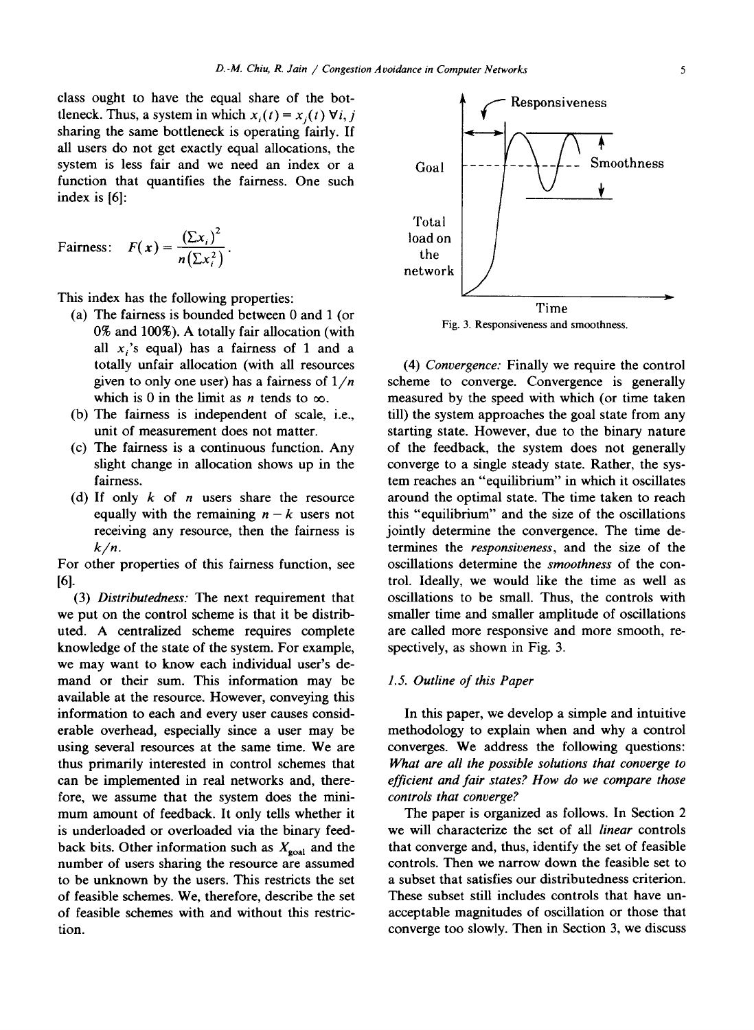class ought to have the equal share of the bottleneck. Thus, a system in which  $x_i(t) = x_i(t) \,\forall i, j$ sharing the same bottleneck is operating fairly. If all users do not get exactly equal allocations, the system is less fair and we need an index or a function that quantifies the fairness. One such index is [6]:

$$
\text{Fairness:} \quad F(x) = \frac{(\sum x_i)^2}{n(\sum x_i^2)}.
$$

This index has the following properties:

- (a) The fairness is bounded between 0 and 1 (or 0% and 100%). A totally fair allocation (with all  $x_i$ 's equal) has a fairness of 1 and a totally unfair allocation (with all resources given to only one user) has a fairness of *1/n*  which is 0 in the limit as *n* tends to  $\infty$ .
- (b) The fairness is independent of scale, i.e., unit of measurement does not matter.
- (c) The fairness is a continuous function. Any slight change in allocation shows up in the fairness.
- (d) If only  $k$  of n users share the resource equally with the remaining  $n-k$  users not receiving any resource, then the fairness is *k/n.*

For other properties of this fairness function, see [61.

(3) *Distributedness: The* next requirement that we put on the control scheme is that it be distributed. A centralized scheme requires complete knowledge of the state of the system. For example, we may want to know each individual user's demand or their sum. This information may be available at the resource. However, conveying this information to each and every user causes considerable overhead, especially since a user may be using several resources at the same time. We are thus primarily interested in control schemes that can be implemented in real networks and, therefore, we assume that the system does the minimum amount of feedback. It only tells whether it is underloaded or overloaded via the binary feedback bits. Other information such as  $X_{\text{goal}}$  and the number of users sharing the resource are assumed to be unknown by the users. This restricts the set of feasible schemes. We, therefore, describe the set of feasible schemes with and without this restriction.

(4) *Convergence:* Finally we require the control scheme to converge. Convergence is generally measured by the speed with which (or time taken till) the system approaches the goal state from any starting state. However, due to the binary nature of the feedback, the system does not generally converge to a single steady state. Rather, the system reaches an "equilibrium" in which it oscillates around the optimal state. The time taken to reach this "equilibrium" and the size of the oscillations jointly determine the convergence. The time determines the *responsiveness,* and the size of the oscillations determine the *smoothness* of the control. Ideally, we would like the time as well as oscillations to be small. Thus, the controls with smaller time and smaller amplitude of oscillations are called more responsive and more smooth, respectively, as shown in Fig. 3.

### *1.5. Outline of this Paper*

In this paper, we develop a simple and intuitive methodology to explain when and why a control converges. We address the following questions: *What are all the possible solutions that converge to efficient and fair states? How do we compare those controls that converge?* 

The paper is organized as follows. In Section 2 we will characterize the set of all *linear* controls that converge and, thus, identify the set of feasible controls. Then we narrow down the feasible set to a subset that satisfies our distributedness criterion. These subset still includes controls that have unacceptable magnitudes of oscillation or those that converge too slowly. Then in Section 3, we discuss



Fig. 3. Responsiveness and smoothness.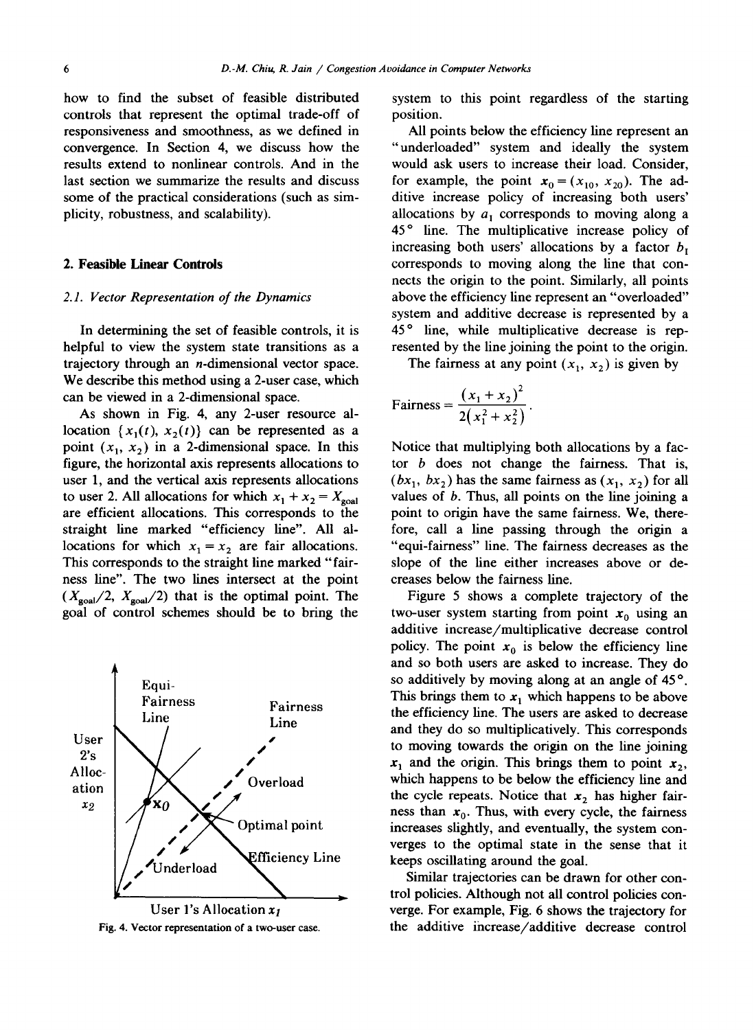how to find the subset of feasible distributed controls that represent the optimal trade-off of responsiveness and smoothness, as we defined in convergence. In Section 4, we discuss how the results extend to nonlinear controls. And in the last section we summarize the results and discuss some of the practical considerations (such as simplicity, robustness, and scalability).

#### **2. Feasible Linear Controls**

#### *2.1. Vector Representation of the Dynamics*

In determining the set of feasible controls, it is helpful to view the system state transitions as a trajectory through an n-dimensional vector space. We describe this method using a 2-user case, which can be viewed in a 2-dimensional space.

As shown in Fig. 4, any 2-user resource allocation  $\{x_1(t), x_2(t)\}\)$  can be represented as a point  $(x_1, x_2)$  in a 2-dimensional space. In this figure, the horizontal axis represents allocations to user 1, and the vertical axis represents allocations to user 2. All allocations for which  $x_1 + x_2 = X_{\text{goal}}$ are efficient allocations. This corresponds to the straight line marked "efficiency line". All allocations for which  $x_1 = x_2$  are fair allocations. This corresponds to the straight line marked "fairness line". The two lines intersect at the point  $(X_{\text{goal}}/2, X_{\text{goal}}/2)$  that is the optimal point. The goal of control schemes should be to bring the



Fig. 4. Vector representation of a two-user case.

system to this point regardless of the starting position.

All points below the efficiency line represent an "underloaded" system and ideally the system would ask users to increase their load. Consider, for example, the point  $x_0 = (x_{10}, x_{20})$ . The additive increase policy of increasing both users' allocations by  $a_1$  corresponds to moving along a 45° line. The multiplicative increase policy of increasing both users' allocations by a factor  $b<sub>I</sub>$ corresponds to moving along the line that connects the origin to the point. Similarly, all points above the efficiency line represent an "overloaded" system and additive decrease is represented by a 45 ° line, while multiplicative decrease is represented by the line joining the point to the origin.

The fairness at any point  $(x_1, x_2)$  is given by

$$
\text{Fairness} = \frac{(x_1 + x_2)^2}{2(x_1^2 + x_2^2)}.
$$

Notice that multiplying both allocations by a factor  $b$  does not change the fairness. That is,  $(bx_1, bx_2)$  has the same fairness as  $(x_1, x_2)$  for all values of  $b$ . Thus, all points on the line joining a point to origin have the same fairness. We, therefore, call a line passing through the origin a "equi-fairness" line. The fairness decreases as the slope of the line either increases above or decreases below the fairness line.

Figure 5 shows a complete trajectory of the two-user system starting from point  $x_0$  using an additive increase/multiplicative decrease control policy. The point  $x_0$  is below the efficiency line and so both users are asked to increase. They do so additively by moving along at an angle of  $45^\circ$ . This brings them to  $x_1$  which happens to be above the efficiency line. The users are asked to decrease and they do so multiplicatively. This corresponds to moving towards the origin on the line joining  $x_1$  and the origin. This brings them to point  $x_2$ , which happens to be below the efficiency line and the cycle repeats. Notice that  $x_2$  has higher fairness than  $x_0$ . Thus, with every cycle, the fairness increases slightly, and eventually, the system converges to the optimal state in the sense that it keeps oscillating around the goal.

Similar trajectories can be drawn for other control policies. Although not all control policies converge. For example, Fig. 6 shows the trajectory for the additive increase/additive decrease control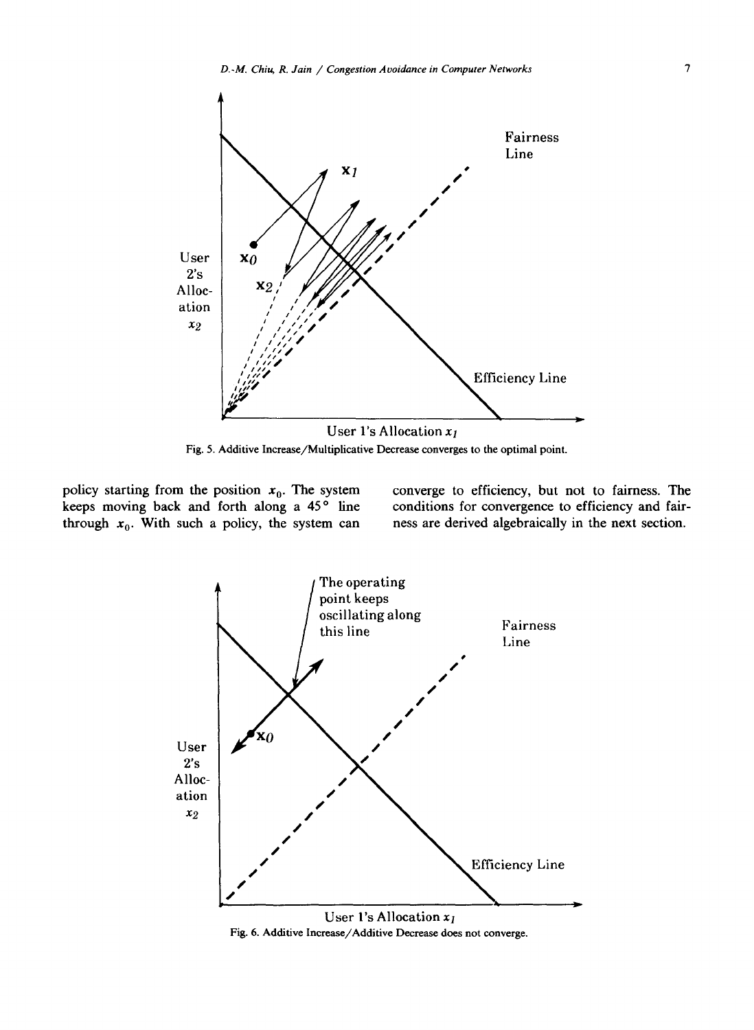

Fig. 5. Additive Increase/Multiplicative Decrease converges to the optimal point.

policy starting from the position  $x_0$ . The system keeps moving back and forth along a  $45^{\circ}$  line through  $x_0$ . With such a policy, the system can

converge to efficiency, but not to fairness. The conditions for convergence to efficiency and fairness are derived algebraically in the next section.



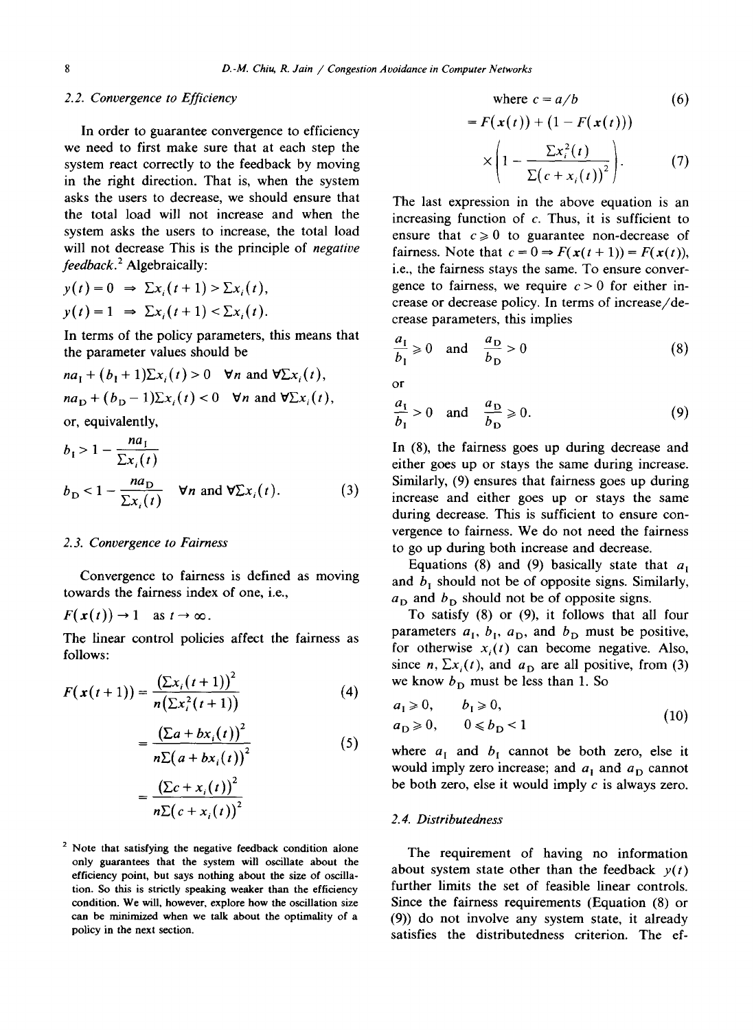#### *2.2. Convergence to Efficiency*

In order to guarantee convergence to efficiency we need to first make sure that at each step the system react correctly to the feedback by moving in the right direction. That is, when the system asks the users to decrease, we should ensure that the total load will not increase and when the system asks the users to increase, the total load will not decrease This is the principle of *negative feedback*.<sup>2</sup> Algebraically:

$$
y(t) = 0 \Rightarrow \sum x_i(t+1) > \sum x_i(t),
$$
  

$$
y(t) = 1 \Rightarrow \sum x_i(t+1) < \sum x_i(t).
$$

In terms of the policy parameters, this means that the parameter values should be

$$
na_1 + (b_1 + 1)\Sigma x_i(t) > 0 \quad \forall n \text{ and } \forall \Sigma x_i(t),
$$
\n
$$
na_{\text{D}} + (b_{\text{D}} - 1)\Sigma x_i(t) < 0 \quad \forall n \text{ and } \forall \Sigma x_i(t),
$$
\nor equivalently:

or, equivalently,

$$
b_1 > 1 - \frac{na_1}{\sum x_i(t)}
$$
  
\n
$$
b_{\text{D}} < 1 - \frac{na_{\text{D}}}{\sum x_i(t)} \quad \forall n \text{ and } \forall \sum x_i(t).
$$
 (3)

#### *2.3. Convergence to Fairness*

Convergence to fairness is defined as moving towards the fairness index of one, i.e.,

$$
F(x(t))\to 1 \text{ as } t\to\infty.
$$

The linear control policies affect the fairness as follows:

$$
F(x(t+1)) = \frac{\left(\sum x_i(t+1)\right)^2}{n\left(\sum x_i^2(t+1)\right)}
$$
(4)

$$
= \frac{\left(\sum a + bx_i(t)\right)^2}{n\Sigma\left(a + bx_i(t)\right)^2}
$$
\n
$$
= \frac{\left(\sum c + x_i(t)\right)^2}{n\Sigma\left(c + x_i(t)\right)^2}
$$
\n(5)

<sup>2</sup> Note that satisfying the negative feedback condition alone only guarantees that the system will oscillate about the efficiency point, but says nothing about the size of oscillation. So this is strictly speaking weaker than the efficiency condition. We will, however, explore how the oscillation size can be minimized when we talk about the optimality of a policy in the next section.

where 
$$
c = a/b
$$
 (6)  
=  $F(\mathbf{r}(t)) + (1 - F(\mathbf{r}(t)))$ 

$$
\times \left(1 - \frac{\sum x_i^2(t)}{\sum (c + x_i(t))^2}\right). \tag{7}
$$

The last expression in the above equation is an increasing function of  $c$ . Thus, it is sufficient to ensure that  $c \ge 0$  to guarantee non-decrease of fairness. Note that  $c = 0 \Rightarrow F(x(t+1)) = F(x(t))$ , i.e., the fairness stays the same. To ensure convergence to fairness, we require  $c > 0$  for either increase or decrease policy. In terms of increase/decrease parameters, this implies

$$
\frac{a_1}{b_1} \ge 0 \quad \text{and} \quad \frac{a_D}{b_D} > 0 \tag{8}
$$

or

$$
\frac{a_1}{b_1} > 0 \quad \text{and} \quad \frac{a_D}{b_D} \ge 0. \tag{9}
$$

In (8), the fairness goes up during decrease and either goes up or stays the same during increase. Similarly, (9) ensures that fairness goes up during increase and either goes up or stays the same during decrease. This is sufficient to ensure convergence to fairness. We do not need the fairness to go up during both increase and decrease.

Equations (8) and (9) basically state that  $a<sub>1</sub>$ and  $b<sub>I</sub>$  should not be of opposite signs. Similarly,  $a_D$  and  $b_D$  should not be of opposite signs.

To satisfy (8) or (9), it follows that all four parameters  $a_1$ ,  $b_1$ ,  $a_D$ , and  $b_D$  must be positive, for otherwise  $x_i(t)$  can become negative. Also, since *n*,  $\sum x_i(t)$ , and  $a_{\text{D}}$  are all positive, from (3) we know  $b_{\rm D}$  must be less than 1. So

$$
a_1 \ge 0, \t b_1 \ge 0,a_D \ge 0, \t 0 \le b_D < 1
$$
\n(10)

where  $a_{\text{I}}$  and  $b_{\text{I}}$  cannot be both zero, else it would imply zero increase; and  $a_1$  and  $a_{\rm D}$  cannot be both zero, else it would imply  $c$  is always zero.

#### *2.4. Distributedness*

The requirement of having no information about system state other than the feedback  $y(t)$ further limits the set of feasible linear controls. Since the fairness requirements (Equation (8) or (9)) do not involve any system state, it already satisfies the distributedness criterion. The ef-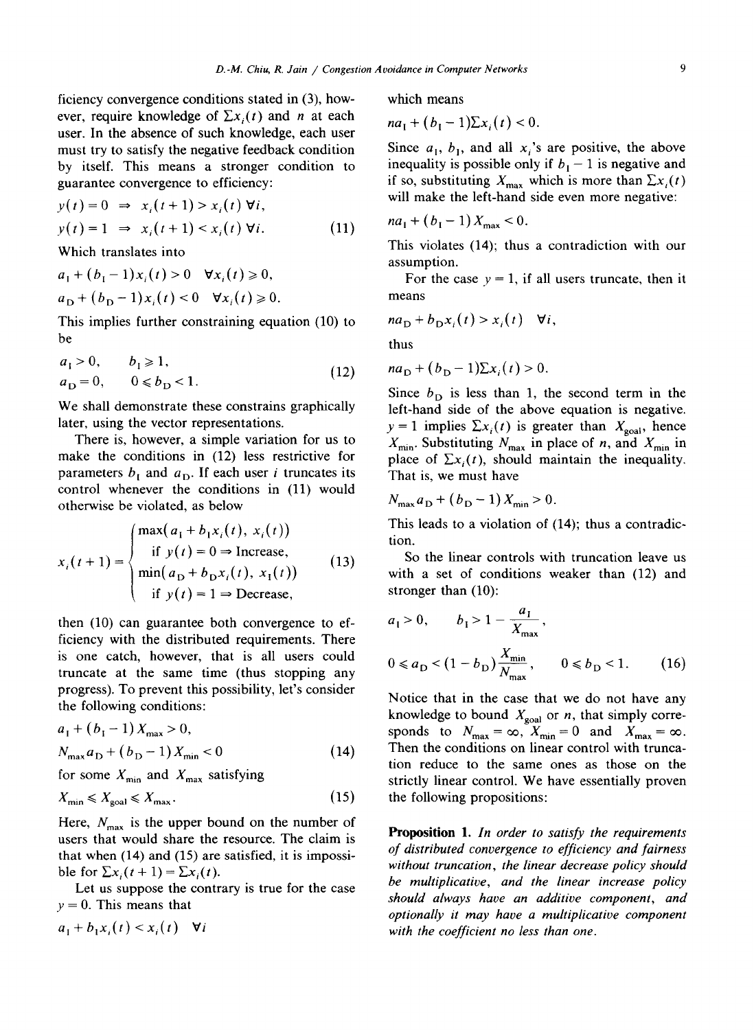ficiency convergence conditions stated in (3), however, require knowledge of  $\Sigma x_i(t)$  and n at each user. In the absence of such knowledge, each user must try to satisfy the negative feedback condition by itself. This means a stronger condition to guarantee convergence to efficiency:

$$
y(t) = 0 \implies x_i(t+1) > x_i(t) \forall i,
$$
  

$$
y(t) = 1 \implies x_i(t+1) < x_i(t) \forall i.
$$
 (11)

Which translates into

$$
a_1 + (b_1 - 1)x_i(t) > 0 \quad \forall x_i(t) \ge 0,
$$
  
\n
$$
a_D + (b_D - 1)x_i(t) < 0 \quad \forall x_i(t) \ge 0.
$$

This implies further constraining equation (10) to be

$$
a_1 > 0,
$$
  $b_1 \ge 1,$   
\n $a_D = 0,$   $0 \le b_D < 1.$  (12)

We shall demonstrate these constrains graphically later, using the vector representations.

There is, however, a simple variation for us to make the conditions in (12) less restrictive for parameters  $b_1$  and  $a_{\text{D}}$ . If each user *i* truncates its control whenever the conditions in (11) would otherwise be violated, as below

$$
x_i(t+1) = \begin{cases} \max(a_1 + b_1 x_i(t), x_i(t)) \\ \text{if } y(t) = 0 \Rightarrow \text{ Increase,} \\ \min(a_1 + b_1 x_i(t), x_1(t)) \\ \text{if } y(t) = 1 \Rightarrow \text{Decrease,} \end{cases}
$$
(13)

then (10) can guarantee both convergence to efficiency with the distributed requirements. There is one catch, however, that is all users could truncate at the same time (thus stopping any progress). To prevent this possibility, let's consider the following conditions:

$$
a_1 + (b_1 - 1)X_{\text{max}} > 0,
$$
  
\n
$$
N_{\text{max}} a_{\text{D}} + (b_{\text{D}} - 1)X_{\text{min}} < 0
$$
\n(14)

for some  $X_{\text{min}}$  and  $X_{\text{max}}$  satisfying

$$
X_{\min} \leqslant X_{\text{goal}} \leqslant X_{\max}.\tag{15}
$$

Here,  $N_{\text{max}}$  is the upper bound on the number of users that would share the resource. The claim is that when (14) and (15) are satisfied, it is impossible for  $\sum x_i(t + 1) = \sum x_i(t)$ .

Let us suppose the contrary is true for the case  $y = 0$ . This means that

$$
a_1 + b_1 x_i(t) < x_i(t) \quad \forall i
$$

which means

$$
na_1 + (b_1 - 1)\sum x_i(t) < 0.
$$

Since  $a_1$ ,  $b_1$ , and all  $x_i$ 's are positive, the above inequality is possible only if  $b_1 - 1$  is negative and if so, substituting  $X_{\text{max}}$  which is more than  $\sum x_i(t)$ will make the left-hand side even more negative:

$$
na_1 + (b_1 - 1)X_{\text{max}} < 0.
$$

This violates (14); thus a contradiction with our assumption.

For the case  $y = 1$ , if all users truncate, then it means

$$
na_{\mathrm{D}} + b_{\mathrm{D}}x_i(t) > x_i(t) \quad \forall i,
$$

thus

$$
na_{\mathrm{D}} + (b_{\mathrm{D}} - 1)\Sigma x_i(t) > 0.
$$

Since  $b<sub>D</sub>$  is less than 1, the second term in the left-hand side of the above equation is negative.  $y = 1$  implies  $\sum x_i(t)$  is greater than  $X_{\text{goal}}$ , hence  $X_{\text{min}}$ . Substituting  $N_{\text{max}}$  in place of *n*, and  $X_{\text{min}}$  in place of  $\sum x_i(t)$ , should maintain the inequality. That is, we must have

$$
N_{\max} a_{\rm D} + (b_{\rm D} - 1) X_{\min} > 0.
$$

This leads to a violation of (14); thus a contradiction.

So the linear controls with truncation leave us with a set of conditions weaker than (12) and stronger than (10):

$$
a_1 > 0,
$$
  $b_1 > 1 - \frac{a_1}{X_{\text{max}}},$   
 $0 \le a_D < (1 - b_D) \frac{X_{\text{min}}}{N_{\text{max}}}, \qquad 0 \le b_D < 1.$  (16)

Notice that in the case that we do not have any knowledge to bound  $X_{\text{goal}}$  or n, that simply corresponds to  $N_{\text{max}} = \infty$ ,  $X_{\text{min}} = 0$  and  $X_{\text{max}} = \infty$ . Then the conditions on linear control with truncation reduce to the same ones as those on the strictly linear control. We have essentially proven the following propositions:

**Proposition** 1. *In order to satisfy the requirements of distributed convergence to efficiency and fairness without truncation, the linear decrease policy should be multiplicative, and the linear increase policy should always have an additive component, and optionally it may have a multiplicative component with the coefficient no less than one.*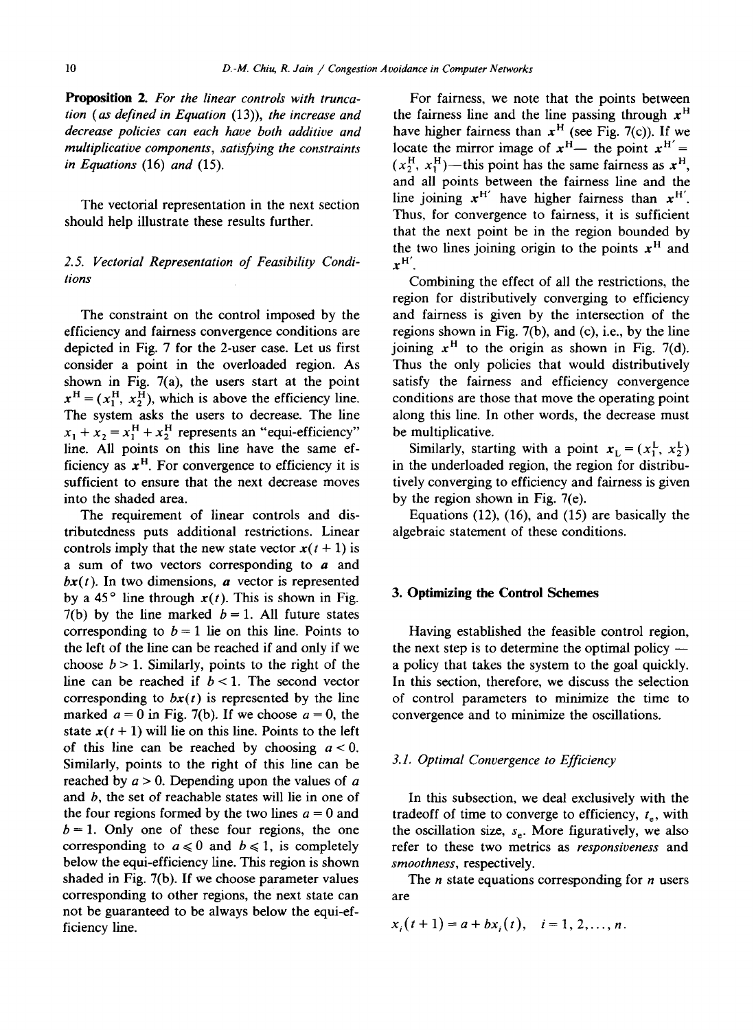Proposition 2. *For the linear controls with truncation (as defined in Equation (13)), the increase and decrease policies can each have both additive and multiplicative components, satisfying the constraints in Equations* (16) *and* (15).

The vectorial representation in the next section should help illustrate these results further.

## *2.5. Vectorial Representation of Feasibility Conditions*

The constraint on the control imposed by the efficiency and fairness convergence conditions are depicted in Fig. 7 for the 2-user case. Let us first consider a point in the overloaded region. As shown in Fig.  $7(a)$ , the users start at the point  $x^H = (x_1^H, x_2^H)$ , which is above the efficiency line. The system asks the users to decrease. The line  $x_1 + x_2 = x_1^H + x_2^H$  represents an "equi-efficiency" line. All points on this line have the same efficiency as  $x^H$ . For convergence to efficiency it is sufficient to ensure that the next decrease moves into the shaded area.

The requirement of linear controls and distributedness puts additional restrictions. Linear controls imply that the new state vector  $x(t + 1)$  is a sum of two vectors corresponding to a and  $bx(t)$ . In two dimensions,  $a$  vector is represented by a 45<sup>°</sup> line through  $x(t)$ . This is shown in Fig. 7(b) by the line marked  $b = 1$ . All future states corresponding to  $b = 1$  lie on this line. Points to the left of the line can be reached if and only if we choose  $b > 1$ . Similarly, points to the right of the line can be reached if  $b < 1$ . The second vector corresponding to  $bx(t)$  is represented by the line marked  $a = 0$  in Fig. 7(b). If we choose  $a = 0$ , the state  $x(t + 1)$  will lie on this line. Points to the left of this line can be reached by choosing  $a < 0$ . Similarly, points to the fight of this line can be reached by  $a > 0$ . Depending upon the values of a and b, the set of reachable states will lie in one of the four regions formed by the two lines  $a = 0$  and  $b = 1$ . Only one of these four regions, the one corresponding to  $a \le 0$  and  $b \le 1$ , is completely below the equi-efficiency line. This region is shown shaded in Fig. 7(b). If we choose parameter values corresponding to other regions, the next state can not be guaranteed to be always below the equi-efficiency line.

For fairness, we note that the points between the fairness line and the line passing through  $x<sup>H</sup>$ have higher fairness than  $x^H$  (see Fig. 7(c)). If we locate the mirror image of  $x^H$ — the point  $x^H'$  =  $(x_2^H, x_1^H)$ —this point has the same fairness as  $x^H$ , and all points between the fairness line and the line joining  $x^H$  have higher fairness than  $x^H$ . Thus, for convergence to fairness, it is sufficient that the next point be in the region bounded by the two lines joining origin to the points  $x<sup>H</sup>$  and  $\mathbf{r}^{\mathrm{H}'}$ 

Combining the effect of all the restrictions, the region for distributively converging to efficiency and fairness is given by the intersection of the regions shown in Fig. 7(b), and (c), i.e., by the line joining  $x^H$  to the origin as shown in Fig. 7(d). Thus the only policies that would distributively satisfy the fairness and efficiency convergence conditions are those that move the operating point along this line. In other words, the decrease must be multiplicative.

Similarly, starting with a point  $x_L = (x_1^L, x_2^L)$ in the underloaded region, the region for distributively converging to efficiency and fairness is given by the region shown in Fig. 7(e).

Equations (12), (16), and (15) are basically the algebraic statement of these conditions.

#### **3. Optimizing the Control Schemes**

Having established the feasible control region, the next step is to determine the optimal policy  $$ a policy that takes the system to the goal quickly. In this section, therefore, we discuss the selection of control parameters to minimize the time to convergence and to minimize the oscillations.

## *3.1. Optimal Convergence to Efficiency*

In this subsection, we deal exclusively with the tradeoff of time to converge to efficiency,  $t_{e}$ , with the oscillation size,  $s_e$ . More figuratively, we also refer to these two metrics as *responsiveness* and *smoothness,* respectively.

The *n* state equations corresponding for *n* users are

$$
x_i(t+1) = a + bx_i(t), \quad i = 1, 2, ..., n.
$$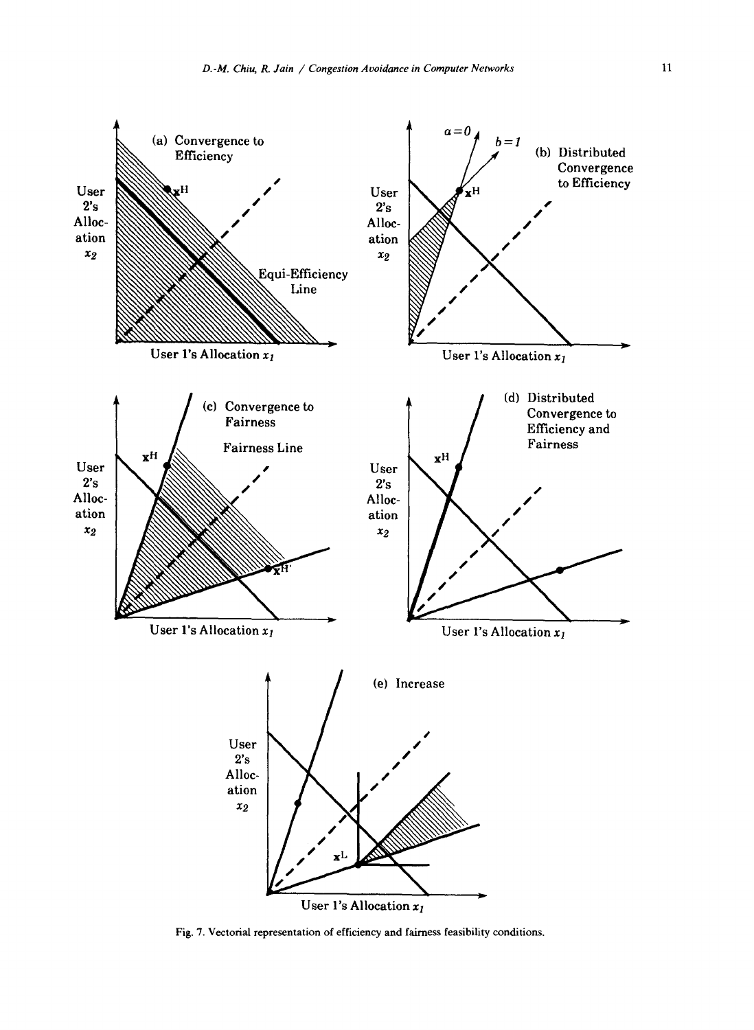

Fig. 7. Vectorial representation of efficiency and fairness feasibility conditions.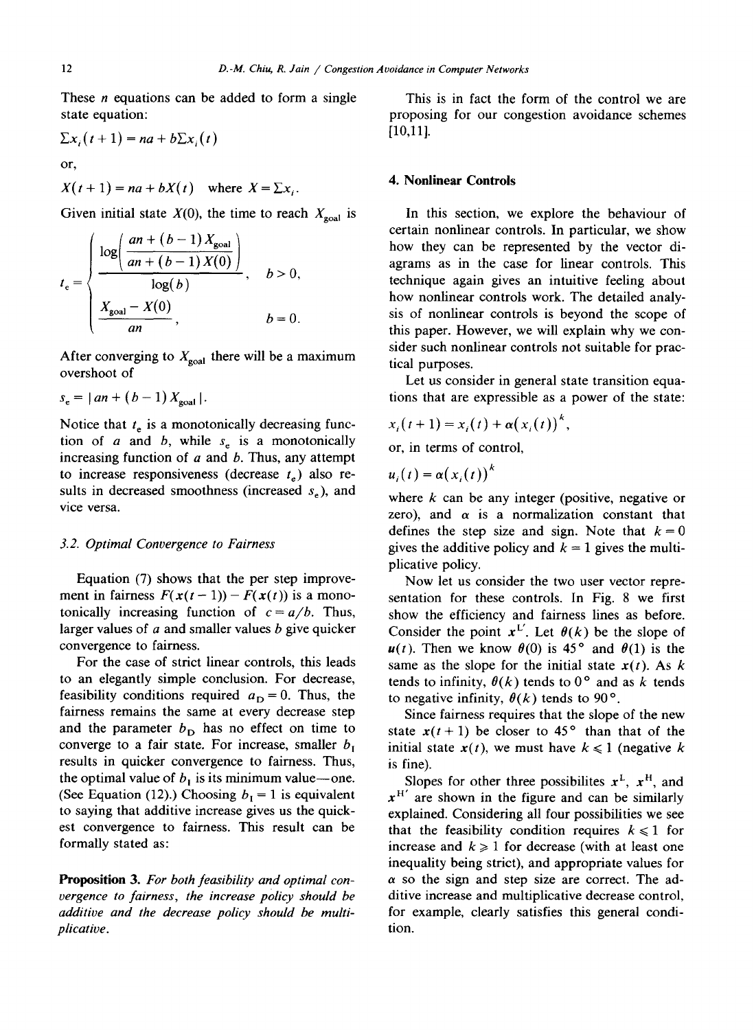These  *equations can be added to form a single* state equation:

$$
\sum x_i(t+1) = na + b \sum x_i(t)
$$
  
or,  

$$
Y(t+1) = A Y(t) - A + Y(t)
$$

$$
X(t+1) = na + bX(t) \quad \text{where } X = \sum x_i.
$$

Given initial state  $X(0)$ , the time to reach  $X_{goal}$  is

$$
t_{e} = \begin{cases} \frac{\log\left(\frac{an + (b-1)X_{\text{goal}}}{an + (b-1)X(0)}\right)}{\log(b)}, & b > 0, \\ \frac{X_{\text{goal}} - X(0)}{an}, & b = 0. \end{cases}
$$

After converging to  $X_{\text{goal}}$  there will be a maximum overshoot of

$$
s_{\rm e} = |an + (b-1)X_{\rm goal}|.
$$

Notice that  $t_e$  is a monotonically decreasing function of a and b, while  $s_e$  is a monotonically increasing function of  $a$  and  $b$ . Thus, any attempt to increase responsiveness (decrease  $t_e$ ) also results in decreased smoothness (increased  $s_e$ ), and vice versa.

## *3.2. Optimal Convergence to Fairness*

Equation (7) shows that the per step improvement in fairness  $F(x(t-1)) - F(x(t))$  is a monotonically increasing function of  $c = a/b$ . Thus, larger values of  $a$  and smaller values  $b$  give quicker convergence to fairness.

For the case of strict linear controls, this leads to an elegantly simple conclusion. For decrease, feasibility conditions required  $a<sub>D</sub> = 0$ . Thus, the fairness remains the same at every decrease step and the parameter  $b<sub>D</sub>$  has no effect on time to converge to a fair state. For increase, smaller  $b<sub>I</sub>$ results in quicker convergence to fairness. Thus, the optimal value of  $b_1$  is its minimum value--one. (See Equation (12).) Choosing  $b_1 = 1$  is equivalent to saying that additive increase gives us the quickest convergence to fairness. This result can be formally stated as:

**Proposition** 3. *For both feasibifity and optimal convergence to fairness, the increase poficy should be additive and the decrease policy should be multipficative.* 

This is in fact the form of the control we are proposing for our congestion avoidance schemes [10,11].

## **4. Nonlinear Controls**

In this section, we explore the behaviour of certain nonlinear controls. In particular, we show how they can be represented by the vector diagrams as in the case for linear controls. This technique again gives an intuitive feeling about how nonlinear controls work. The detailed analysis of nonlinear controls is beyond the scope of this paper. However, we will explain why we consider such nonlinear controls not suitable for practical purposes.

Let us consider in general state transition equations that are expressible as a power of the state:

$$
x_i(t+1) = x_i(t) + \alpha (x_i(t))^k,
$$

or, in terms of control,

$$
u_i(t) = \alpha(x_i(t))^k
$$

where  $k$  can be any integer (positive, negative or zero), and  $\alpha$  is a normalization constant that defines the step size and sign. Note that  $k = 0$ gives the additive policy and  $k = 1$  gives the multiplicative policy.

Now let us consider the two user vector representation for these controls. In Fig. 8 we first show the efficiency and fairness lines as before. Consider the point  $x^L$ . Let  $\theta(k)$  be the slope of  $u(t)$ . Then we know  $\theta(0)$  is 45° and  $\theta(1)$  is the same as the slope for the initial state  $x(t)$ . As k tends to infinity,  $\theta(k)$  tends to 0<sup>°</sup> and as k tends to negative infinity,  $\theta(k)$  tends to 90<sup>o</sup>.

Since fairness requires that the slope of the new state  $x(t+1)$  be closer to 45<sup>°</sup> than that of the initial state  $x(t)$ , we must have  $k \le 1$  (negative k is fine).

Slopes for other three possibilites  $x^L$ ,  $x^H$ , and  $x<sup>H'</sup>$  are shown in the figure and can be similarly explained. Considering all four possibilities we see that the feasibility condition requires  $k \leq 1$  for increase and  $k \ge 1$  for decrease (with at least one inequality being strict), and appropriate values for  $\alpha$  so the sign and step size are correct. The additive increase and multiplicative decrease control, for example, clearly satisfies this general condition.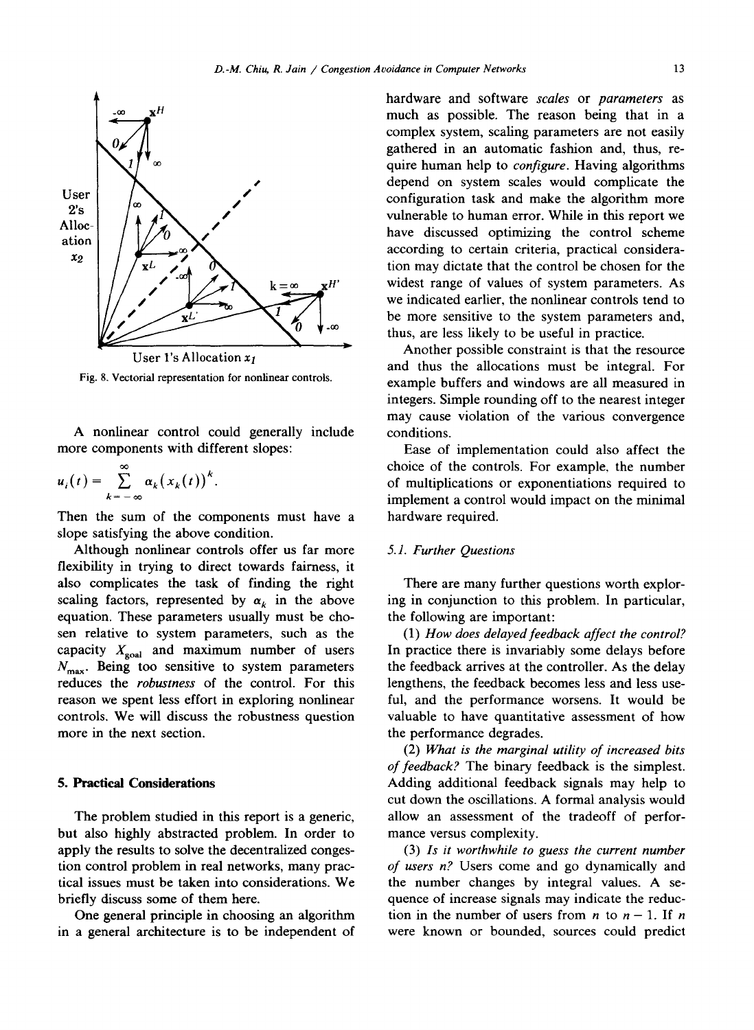

Fig. 8. Vectorial representation for nonlinear controls.

A nonlinear control could generally include more components with different slopes:

$$
u_i(t) = \sum_{k=-\infty}^{\infty} \alpha_k(x_k(t))^k.
$$

Then the sum of the components must have a slope satisfying the above condition.

Although nonlinear controls offer us far more flexibility in trying to direct towards fairness, it also complicates the task of finding the right scaling factors, represented by  $\alpha_k$  in the above equation. These parameters usually must be chosen relative to system parameters, such as the capacity  $X_{\text{goal}}$  and maximum number of users  $N_{\rm max}$ . Being too sensitive to system parameters reduces the *robustness* of the control. For this reason we spent less effort in exploring nonlinear controls, We will discuss the robustness question more in the next section.

#### **5. Practical Considerations**

The problem studied in this report is a generic, but also highly abstracted problem. In order to apply the results to solve the decentralized congestion control problem in real networks, many practical issues must be taken into considerations. We briefly discuss some of them here.

One general principle in choosing an algorithm in a general architecture is to be independent of hardware and software *scales* or *parameters* as much as possible. The reason being that in a complex system, scaling parameters are not easily gathered in an automatic fashion and, thus, require human help to *configure.* Having algorithms depend on system scales would complicate the configuration task and make the algorithm more vulnerable to human error. While in this report we have discussed optimizing the control scheme according to certain criteria, practical consideration may dictate that the control be chosen for the widest range of values of system parameters. As we indicated earlier, the nonlinear controls tend to be more sensitive to the system parameters and, thus, are less likely to be useful in practice.

Another possible constraint is that the resource and thus the allocations must be integral. For example buffers and windows are all measured in integers. Simple rounding off to the nearest integer may cause violation of the various convergence conditions.

Ease of implementation could also affect the choice of the controls. For example, the number of multiplications or exponentiations required to implement a control would impact on the minimal hardware required.

## *5.1. Further Questions*

There are many further questions worth exploring in conjunction to this problem. In particular, the following are important:

(1) *How does delayed feedback affect the control?*  In practice there is invariably some delays before the feedback arrives at the controller. As the delay lengthens, the feedback becomes less and less useful, and the performance worsens. It would be valuable to have quantitative assessment of how the performance degrades.

(2) *What is the marginal utility of increased bits of feedback?* The binary feedback is the simplest. Adding additional feedback signals may help to cut down the oscillations. A formal analysis would allow an assessment of the tradeoff of performance versus complexity.

(3) *Is it worthwhile to guess the current number of users n?* Users come and go dynamically and the number changes by integral values. A sequence of increase signals may indicate the reduction in the number of users from *n* to  $n - 1$ . If *n* were known or bounded, sources could predict